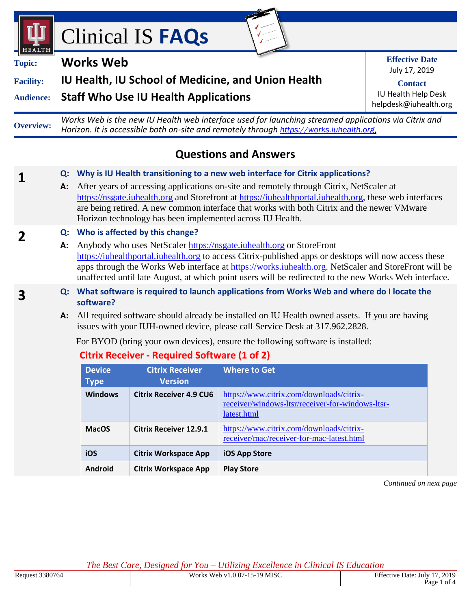



**1**

**2**

**3**

# **Facility: IU Health, IU School of Medicine, and Union Health**

**Audience: Staff Who Use IU Health Applications**

**Overview:** *Works Web is the new IU Health web interface used for launching streamed applications via Citrix and Horizon. It is accessible both on-site and remotely through [https://works.iuhealth.org](https://works.iuhealth.org/)*.

# **Questions and Answers**

#### **Q: Why is IU Health transitioning to a new web interface for Citrix applications?**

**A:** After years of accessing applications on-site and remotely through Citrix, NetScaler at [https://nsgate.iuhealth.org](https://nsgate.iuhealth.org/) and Storefront at [https://iuhealthportal.iuhealth.org,](https://iuhealthportal.iuhealth.org/) these web interfaces are being retired. A new common interface that works with both Citrix and the newer VMware Horizon technology has been implemented across IU Health.

### **Q: Who is affected by this change?**

- **A:** Anybody who uses NetScaler [https://nsgate.iuhealth.org](https://nsgate.iuhealth.org/) or StoreFront [https://iuhealthportal.iuhealth.org](https://iuhealthportal.iuhealth.org/) to access Citrix-published apps or desktops will now access these apps through the Works Web interface at [https://works.iuhealth.org.](https://works.iuhealth.org/) NetScaler and StoreFront will be unaffected until late August, at which point users will be redirected to the new Works Web interface.
- **Q: What software is required to launch applications from Works Web and where do I locate the software?**
	- **A:** All required software should already be installed on IU Health owned assets. If you are having issues with your IUH-owned device, please call Service Desk at 317.962.2828.

For BYOD (bring your own devices), ensure the following software is installed:

# **Citrix Receiver - Required Software (1 of 2)**

| <b>Device</b><br><b>Type</b> | <b>Citrix Receiver</b><br><b>Version</b> | <b>Where to Get</b>                                                                                         |
|------------------------------|------------------------------------------|-------------------------------------------------------------------------------------------------------------|
| <b>Windows</b>               | <b>Citrix Receiver 4.9 CU6</b>           | https://www.citrix.com/downloads/citrix-<br>receiver/windows-ltsr/receiver-for-windows-ltsr-<br>latest.html |
| <b>MacOS</b>                 | <b>Citrix Receiver 12.9.1</b>            | https://www.citrix.com/downloads/citrix-<br>receiver/mac/receiver-for-mac-latest.html                       |
| iOS                          | <b>Citrix Workspace App</b>              | iOS App Store                                                                                               |
| <b>Android</b>               | <b>Citrix Workspace App</b>              | <b>Play Store</b>                                                                                           |

*Continued on next page*

*The Best Care, Designed for You – Utilizing Excellence in Clinical IS Education*

**Effective Date** July 17, 2019

**Contact** IU Health Help Desk helpdesk@iuhealth.org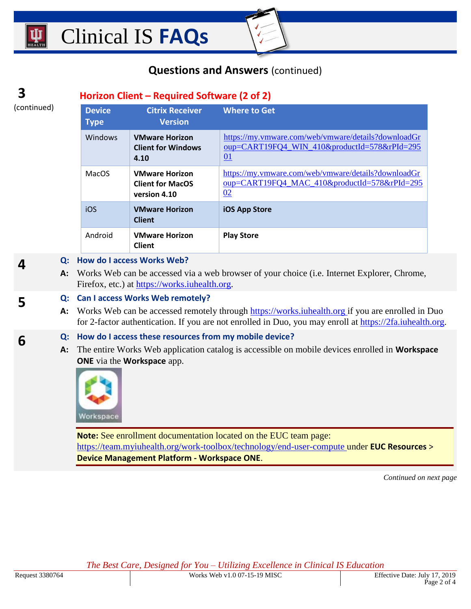# **Questions and Answers** (continued)

#### **3 Horizon Client – Required Software (2 of 2)**

(continued)

**4**

**5**

**6**

| <b>Device</b><br><b>Type</b> | <b>Citrix Receiver</b><br><b>Version</b>                         | <b>Where to Get</b>                                                                                                     |
|------------------------------|------------------------------------------------------------------|-------------------------------------------------------------------------------------------------------------------------|
| Windows                      | <b>VMware Horizon</b><br><b>Client for Windows</b><br>4.10       | https://my.vmware.com/web/vmware/details?downloadGr<br>oup=CART19FQ4_WIN_410&productId=578&rPId=295<br>$\underline{01}$ |
| <b>MacOS</b>                 | <b>VMware Horizon</b><br><b>Client for MacOS</b><br>version 4.10 | https://my.vmware.com/web/vmware/details?downloadGr<br>oup=CART19FQ4 MAC 410&productId=578&rPId=295<br>02               |
| iOS                          | <b>VMware Horizon</b><br><b>Client</b>                           | <b>iOS App Store</b>                                                                                                    |
| Android                      | <b>VMware Horizon</b><br><b>Client</b>                           | <b>Play Store</b>                                                                                                       |

#### **Q: How do I access Works Web?**

**A:** Works Web can be accessed via a web browser of your choice (i.e. Internet Explorer, Chrome, Firefox, etc.) at [https://works.iuhealth.org.](https://works.iuhealth.org/)

#### **Q: Can I access Works Web remotely?**

A: Works Web can be accessed remotely through [https://works.iuhealth.org](https://works.iuhealth.org/) if you are enrolled in Duo for 2-factor authentication. If you are not enrolled in Duo, you may enroll at [https://2fa.iuhealth.org.](https://2fa.iuhealth.org/)

#### **Q: How do I access these resources from my mobile device?**

**A:** The entire Works Web application catalog is accessible on mobile devices enrolled in **Workspace ONE** via the **Workspace** app.



**Note:** See enrollment documentation located on the EUC team page: <https://team.myiuhealth.org/work-toolbox/technology/end-user-compute> under **EUC Resources** > **Device Management Platform - Workspace ONE**.

*Continued on next page*

*The Best Care, Designed for You – Utilizing Excellence in Clinical IS Education*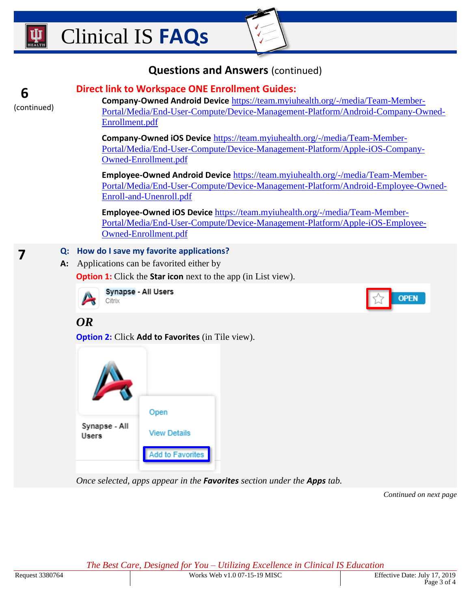# **Questions and Answers** (continued)



**7**

## **Direct link to Workspace ONE Enrollment Guides:**

**Company-Owned Android Device** [https://team.myiuhealth.org/-/media/Team-Member-](https://team.myiuhealth.org/-/media/Team-Member-Portal/Media/End-User-Compute/Device-Management-Platform/Android-Company-Owned-Enrollment.pdf)[Portal/Media/End-User-Compute/Device-Management-Platform/Android-Company-Owned-](https://team.myiuhealth.org/-/media/Team-Member-Portal/Media/End-User-Compute/Device-Management-Platform/Android-Company-Owned-Enrollment.pdf)[Enrollment.pdf](https://team.myiuhealth.org/-/media/Team-Member-Portal/Media/End-User-Compute/Device-Management-Platform/Android-Company-Owned-Enrollment.pdf)

**Company-Owned iOS Device** [https://team.myiuhealth.org/-/media/Team-Member-](https://team.myiuhealth.org/-/media/Team-Member-Portal/Media/End-User-Compute/Device-Management-Platform/Apple-iOS-Company-Owned-Enrollment.pdf)[Portal/Media/End-User-Compute/Device-Management-Platform/Apple-iOS-Company-](https://team.myiuhealth.org/-/media/Team-Member-Portal/Media/End-User-Compute/Device-Management-Platform/Apple-iOS-Company-Owned-Enrollment.pdf)[Owned-Enrollment.pdf](https://team.myiuhealth.org/-/media/Team-Member-Portal/Media/End-User-Compute/Device-Management-Platform/Apple-iOS-Company-Owned-Enrollment.pdf)

**Employee-Owned Android Device** [https://team.myiuhealth.org/-/media/Team-Member-](https://team.myiuhealth.org/-/media/Team-Member-Portal/Media/End-User-Compute/Device-Management-Platform/Android-Employee-Owned-Enroll-and-Unenroll.pdf)[Portal/Media/End-User-Compute/Device-Management-Platform/Android-Employee-Owned-](https://team.myiuhealth.org/-/media/Team-Member-Portal/Media/End-User-Compute/Device-Management-Platform/Android-Employee-Owned-Enroll-and-Unenroll.pdf)[Enroll-and-Unenroll.pdf](https://team.myiuhealth.org/-/media/Team-Member-Portal/Media/End-User-Compute/Device-Management-Platform/Android-Employee-Owned-Enroll-and-Unenroll.pdf)

**Employee-Owned iOS Device** [https://team.myiuhealth.org/-/media/Team-Member-](https://team.myiuhealth.org/-/media/Team-Member-Portal/Media/End-User-Compute/Device-Management-Platform/Apple-iOS-Employee-Owned-Enrollment.pdf)[Portal/Media/End-User-Compute/Device-Management-Platform/Apple-iOS-Employee-](https://team.myiuhealth.org/-/media/Team-Member-Portal/Media/End-User-Compute/Device-Management-Platform/Apple-iOS-Employee-Owned-Enrollment.pdf)[Owned-Enrollment.pdf](https://team.myiuhealth.org/-/media/Team-Member-Portal/Media/End-User-Compute/Device-Management-Platform/Apple-iOS-Employee-Owned-Enrollment.pdf)

#### **Q: How do I save my favorite applications?**

**A:** Applications can be favorited either by

**Option 1:** Click the **Star icon** next to the app (in List view).



Synapse - All Users Citrix

**OPEN** 

# *OR*

**Option 2:** Click **Add to Favorites** (in Tile view).



*Once selected, apps appear in the Favorites section under the Apps tab.*

*Continued on next page*

*The Best Care, Designed for You – Utilizing Excellence in Clinical IS Education*